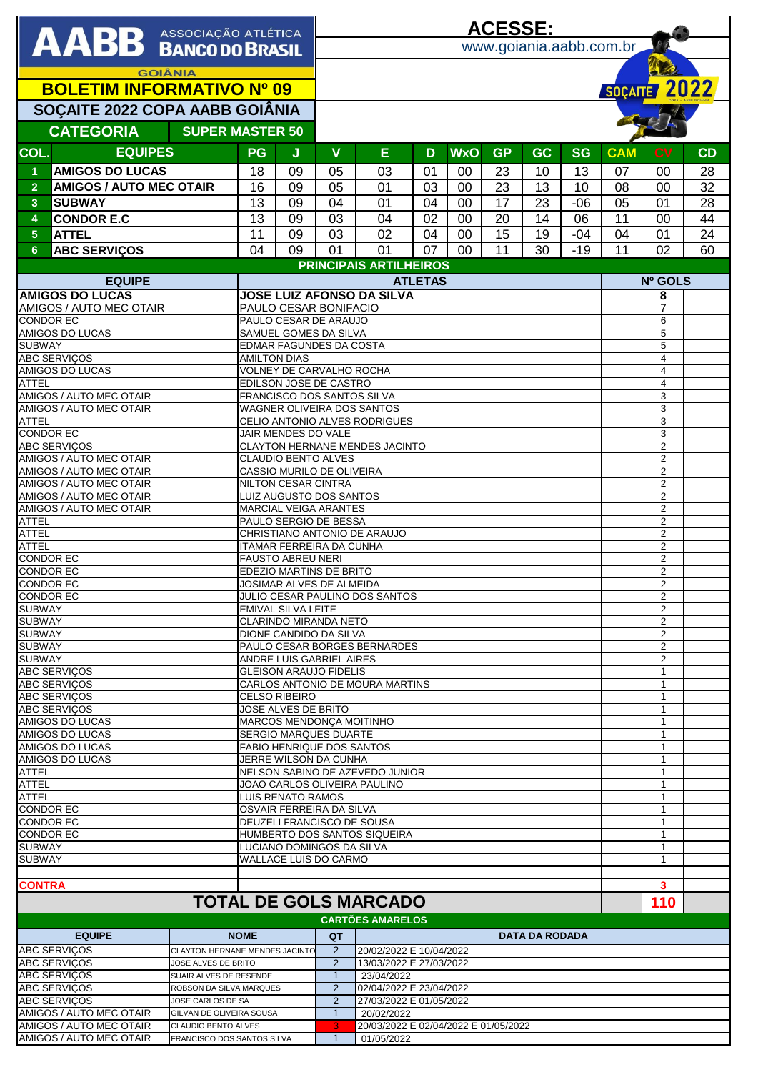|                                                                                            |                                                       |                                |                                                                 | <u>ACESSE:</u>                                                   |                                                       |                                                             |    |                 |           |                       |                |                                  |                             |    |
|--------------------------------------------------------------------------------------------|-------------------------------------------------------|--------------------------------|-----------------------------------------------------------------|------------------------------------------------------------------|-------------------------------------------------------|-------------------------------------------------------------|----|-----------------|-----------|-----------------------|----------------|----------------------------------|-----------------------------|----|
| <b>AABB</b> ASSOCIAÇÃO ATLÉTICA                                                            |                                                       |                                |                                                                 | www.goiania.aabb.com.br                                          |                                                       |                                                             |    |                 |           |                       |                |                                  |                             |    |
|                                                                                            |                                                       |                                |                                                                 |                                                                  |                                                       |                                                             |    |                 |           |                       |                |                                  |                             |    |
| <b>GOIÂNIA</b>                                                                             |                                                       |                                |                                                                 |                                                                  |                                                       |                                                             |    |                 |           |                       |                |                                  |                             |    |
| <b>BOLETIM INFORMATIVO Nº 09</b>                                                           |                                                       |                                |                                                                 |                                                                  |                                                       |                                                             |    |                 |           |                       |                |                                  | SOÇAITE 2022                |    |
|                                                                                            | SOÇAITE 2022 COPA AABB GOIÂNIA                        |                                |                                                                 |                                                                  |                                                       |                                                             |    |                 |           |                       |                |                                  |                             |    |
|                                                                                            |                                                       |                                |                                                                 |                                                                  |                                                       |                                                             |    |                 |           |                       |                |                                  |                             |    |
|                                                                                            | <b>CATEGORIA</b>                                      | <b>SUPER MASTER 50</b>         |                                                                 |                                                                  |                                                       |                                                             |    |                 |           |                       |                |                                  |                             |    |
| COL.                                                                                       | <b>EQUIPES</b>                                        |                                | PG                                                              | J                                                                | $\mathbf v$                                           | E                                                           | D  | <b>WxO</b>      | <b>GP</b> | <b>GC</b>             | <b>SG</b>      | <b>CAM</b>                       | <b>CV</b>                   | CD |
| $\blacktriangleleft$                                                                       | <b>AMIGOS DO LUCAS</b>                                |                                | 18                                                              | 09                                                               | 05                                                    | 03                                                          | 01 | $00\,$          | 23        | 10                    | 13             | 07                               | 00                          | 28 |
| $\overline{2}$                                                                             | <b>AMIGOS / AUTO MEC OTAIR</b>                        |                                | 16                                                              | 09                                                               | 05                                                    | 01                                                          | 03 | 00              | 23        | 13                    | 10             |                                  | 00                          | 32 |
|                                                                                            |                                                       |                                |                                                                 |                                                                  |                                                       |                                                             |    |                 |           |                       |                | 08                               |                             |    |
| 3                                                                                          | <b>SUBWAY</b>                                         |                                | 13                                                              | 09                                                               | 04                                                    | 01                                                          | 04 | 00              | 17        | 23                    | $-06$          | 05                               | 01                          | 28 |
| $\overline{4}$                                                                             | <b>CONDOR E.C</b>                                     |                                | 13                                                              | 09                                                               | 03                                                    | 04                                                          | 02 | 00              | 20        | 14                    | 06             | 11                               | 00                          | 44 |
| $\overline{5}$                                                                             | <b>ATTEL</b>                                          |                                | 11                                                              | 09                                                               | 03                                                    | 02                                                          | 04 | 00              | 15        | 19                    | $-04$          | 04                               | 01                          | 24 |
| 6 <sup>1</sup>                                                                             | <b>ABC SERVIÇOS</b>                                   |                                | 04                                                              | 09                                                               | 01                                                    | 01                                                          | 07 | 00 <sup>°</sup> | 11        | 30                    | $-19$          | 11                               | 02                          | 60 |
|                                                                                            |                                                       |                                |                                                                 |                                                                  | <b>PRINCIPAIS ARTILHEIROS</b>                         |                                                             |    |                 |           |                       |                |                                  |                             |    |
| <b>EQUIPE</b>                                                                              |                                                       |                                | <b>ATLETAS</b>                                                  |                                                                  |                                                       |                                                             |    |                 |           |                       | <b>Nº GOLS</b> |                                  |                             |    |
| <b>AMIGOS DO LUCAS</b>                                                                     |                                                       |                                | <b>JOSE LUIZ AFONSO DA SILVA</b>                                |                                                                  |                                                       |                                                             |    |                 |           |                       |                | 8                                |                             |    |
|                                                                                            | AMIGOS / AUTO MEC OTAIR<br><b>CONDOR EC</b>           |                                |                                                                 | PAULO CESAR BONIFACIO<br>PAULO CESAR DE ARAUJO                   |                                                       |                                                             |    |                 |           |                       |                |                                  | 7                           |    |
|                                                                                            | <b>AMIGOS DO LUCAS</b>                                |                                |                                                                 |                                                                  | SAMUEL GOMES DA SILVA                                 |                                                             |    |                 |           |                       |                |                                  | 6<br>5                      |    |
| <b>SUBWAY</b>                                                                              |                                                       |                                |                                                                 |                                                                  | <b>EDMAR FAGUNDES DA COSTA</b>                        |                                                             |    |                 |           |                       |                |                                  | 5                           |    |
|                                                                                            | <b>ABC SERVIÇOS</b>                                   |                                | <b>AMILTON DIAS</b>                                             |                                                                  |                                                       |                                                             |    |                 |           |                       |                |                                  | 4                           |    |
|                                                                                            | AMIGOS DO LUCAS                                       |                                |                                                                 |                                                                  | VOLNEY DE CARVALHO ROCHA                              |                                                             |    |                 |           |                       |                |                                  | 4                           |    |
| <b>ATTEL</b>                                                                               |                                                       |                                |                                                                 |                                                                  | EDILSON JOSE DE CASTRO                                |                                                             |    |                 |           |                       |                |                                  | 4                           |    |
|                                                                                            | AMIGOS / AUTO MEC OTAIR                               |                                |                                                                 |                                                                  | FRANCISCO DOS SANTOS SILVA                            |                                                             |    |                 |           |                       |                |                                  | 3<br>3                      |    |
| <b>ATTEL</b>                                                                               | AMIGOS / AUTO MEC OTAIR                               |                                |                                                                 |                                                                  |                                                       | WAGNER OLIVEIRA DOS SANTOS<br>CELIO ANTONIO ALVES RODRIGUES |    |                 |           |                       |                |                                  | 3                           |    |
| <b>CONDOR EC</b>                                                                           |                                                       |                                |                                                                 | JAIR MENDES DO VALE                                              |                                                       |                                                             |    |                 |           |                       |                |                                  | 3                           |    |
|                                                                                            | <b>ABC SERVIÇOS</b>                                   |                                | CLAYTON HERNANE MENDES JACINTO                                  |                                                                  |                                                       |                                                             |    |                 |           |                       |                | $\overline{2}$                   |                             |    |
|                                                                                            | AMIGOS / AUTO MEC OTAIR                               |                                | <b>CLAUDIO BENTO ALVES</b>                                      |                                                                  |                                                       |                                                             |    |                 |           |                       |                | $\overline{2}$                   |                             |    |
|                                                                                            | AMIGOS / AUTO MEC OTAIR                               |                                | CASSIO MURILO DE OLIVEIRA                                       |                                                                  |                                                       |                                                             |    |                 |           |                       |                | 2                                |                             |    |
|                                                                                            | AMIGOS / AUTO MEC OTAIR<br>AMIGOS / AUTO MEC OTAIR    |                                | <b>NILTON CESAR CINTRA</b><br>LUIZ AUGUSTO DOS SANTOS           |                                                                  |                                                       |                                                             |    |                 |           |                       |                | $\overline{2}$<br>$\overline{2}$ |                             |    |
|                                                                                            | AMIGOS / AUTO MEC OTAIR                               |                                | <b>MARCIAL VEIGA ARANTES</b>                                    |                                                                  |                                                       |                                                             |    |                 |           |                       |                | 2                                |                             |    |
| <b>ATTEL</b>                                                                               |                                                       |                                | PAULO SERGIO DE BESSA                                           |                                                                  |                                                       |                                                             |    |                 |           |                       | $\overline{2}$ |                                  |                             |    |
| <b>ATTEL</b>                                                                               |                                                       |                                | CHRISTIANO ANTONIO DE ARAUJO                                    |                                                                  |                                                       |                                                             |    |                 |           |                       |                | $\overline{c}$                   |                             |    |
| <b>ATTEL</b>                                                                               |                                                       |                                | ITAMAR FERREIRA DA CUNHA                                        |                                                                  |                                                       |                                                             |    |                 |           |                       |                | $\overline{2}$                   |                             |    |
| <b>CONDOR EC</b>                                                                           |                                                       |                                | <b>FAUSTO ABREU NERI</b>                                        |                                                                  |                                                       |                                                             |    |                 |           |                       |                | $\overline{2}$                   |                             |    |
| <b>CONDOR EC</b><br><b>CONDOR EC</b>                                                       |                                                       |                                | <b>EDEZIO MARTINS DE BRITO</b><br>JOSIMAR ALVES DE ALMEIDA      |                                                                  |                                                       |                                                             |    |                 |           |                       |                | $\overline{c}$<br>$\overline{2}$ |                             |    |
| <b>CONDOR EC</b>                                                                           |                                                       |                                | <b>JULIO CESAR PAULINO DOS SANTOS</b>                           |                                                                  |                                                       |                                                             |    |                 |           |                       |                | 2                                |                             |    |
| <b>SUBWAY</b>                                                                              |                                                       |                                | <b>EMIVAL SILVA LEITE</b>                                       |                                                                  |                                                       |                                                             |    |                 |           |                       |                | 2                                |                             |    |
| <b>SUBWAY</b>                                                                              |                                                       |                                | <b>CLARINDO MIRANDA NETO</b>                                    |                                                                  |                                                       |                                                             |    |                 |           |                       |                | $\overline{2}$                   |                             |    |
| <b>SUBWAY</b>                                                                              |                                                       |                                | DIONE CANDIDO DA SILVA                                          |                                                                  |                                                       |                                                             |    |                 |           |                       |                | 2                                |                             |    |
| <b>SUBWAY</b>                                                                              |                                                       |                                | <b>PAULO CESAR BORGES BERNARDES</b><br>ANDRE LUIS GABRIEL AIRES |                                                                  |                                                       |                                                             |    |                 |           |                       |                | 2                                |                             |    |
| <b>SUBWAY</b><br><b>ABC SERVIÇOS</b>                                                       |                                                       |                                | <b>GLEISON ARAUJO FIDELIS</b>                                   |                                                                  |                                                       |                                                             |    |                 |           |                       |                | 2<br>$\mathbf{1}$                |                             |    |
| ABC SERVIÇOS                                                                               |                                                       |                                | CARLOS ANTONIO DE MOURA MARTINS                                 |                                                                  |                                                       |                                                             |    |                 |           |                       |                | 1                                |                             |    |
| <b>ABC SERVICOS</b>                                                                        |                                                       |                                | <b>CELSO RIBEIRO</b>                                            |                                                                  |                                                       |                                                             |    |                 |           |                       |                | $\mathbf{1}$                     |                             |    |
|                                                                                            | <b>ABC SERVICOS</b>                                   |                                |                                                                 | <b>JOSE ALVES DE BRITO</b>                                       |                                                       |                                                             |    |                 |           |                       |                |                                  | $\mathbf{1}$                |    |
|                                                                                            | AMIGOS DO LUCAS                                       |                                |                                                                 | MARCOS MENDONCA MOITINHO                                         |                                                       |                                                             |    |                 |           |                       |                |                                  | $\mathbf{1}$                |    |
|                                                                                            | AMIGOS DO LUCAS<br>AMIGOS DO LUCAS                    |                                |                                                                 | <b>SERGIO MARQUES DUARTE</b><br><b>FABIO HENRIQUE DOS SANTOS</b> |                                                       |                                                             |    |                 |           |                       |                |                                  | $\mathbf{1}$<br>$\mathbf 1$ |    |
|                                                                                            | AMIGOS DO LUCAS                                       |                                | JERRE WILSON DA CUNHA                                           |                                                                  |                                                       |                                                             |    |                 |           |                       |                | 1                                |                             |    |
| <b>ATTEL</b>                                                                               |                                                       |                                | NELSON SABINO DE AZEVEDO JUNIOR                                 |                                                                  |                                                       |                                                             |    |                 |           |                       |                | $\mathbf{1}$                     |                             |    |
| <b>ATTEL</b>                                                                               |                                                       |                                | JOAO CARLOS OLIVEIRA PAULINO                                    |                                                                  |                                                       |                                                             |    |                 |           |                       |                | 1                                |                             |    |
| <b>ATTEL</b>                                                                               |                                                       |                                | <b>LUIS RENATO RAMOS</b>                                        |                                                                  |                                                       |                                                             |    |                 |           |                       |                | $\mathbf{1}$                     |                             |    |
| <b>CONDOR EC</b>                                                                           |                                                       |                                | OSVAIR FERREIRA DA SILVA                                        |                                                                  |                                                       |                                                             |    |                 |           |                       |                | $\mathbf{1}$                     |                             |    |
| <b>CONDOR EC</b><br><b>CONDOR EC</b>                                                       |                                                       |                                | DEUZELI FRANCISCO DE SOUSA<br>HUMBERTO DOS SANTOS SIQUEIRA      |                                                                  |                                                       |                                                             |    |                 |           |                       |                | 1<br>$\mathbf{1}$                |                             |    |
| <b>SUBWAY</b>                                                                              |                                                       |                                |                                                                 | LUCIANO DOMINGOS DA SILVA                                        |                                                       |                                                             |    |                 |           |                       |                |                                  | $\mathbf{1}$                |    |
| <b>SUBWAY</b>                                                                              |                                                       |                                |                                                                 |                                                                  | <b>WALLACE LUIS DO CARMO</b>                          |                                                             |    |                 |           |                       |                | 1                                |                             |    |
|                                                                                            |                                                       |                                |                                                                 |                                                                  |                                                       |                                                             |    |                 |           |                       |                |                                  |                             |    |
| <b>CONTRA</b>                                                                              |                                                       |                                |                                                                 |                                                                  |                                                       |                                                             |    |                 |           |                       |                |                                  | 3                           |    |
| <b>TOTAL DE GOLS MARCADO</b><br>110                                                        |                                                       |                                |                                                                 |                                                                  |                                                       |                                                             |    |                 |           |                       |                |                                  |                             |    |
| <b>CARTÕES AMARELOS</b>                                                                    |                                                       |                                |                                                                 |                                                                  |                                                       |                                                             |    |                 |           |                       |                |                                  |                             |    |
|                                                                                            | <b>EQUIPE</b>                                         |                                | <b>NOME</b>                                                     |                                                                  | QT                                                    |                                                             |    |                 |           | <b>DATA DA RODADA</b> |                |                                  |                             |    |
|                                                                                            | <b>ABC SERVICOS</b>                                   | CLAYTON HERNANE MENDES JACINTO |                                                                 |                                                                  | 2                                                     | 20/02/2022 E 10/04/2022                                     |    |                 |           |                       |                |                                  |                             |    |
|                                                                                            | <b>ABC SERVICOS</b>                                   | JOSE ALVES DE BRITO            |                                                                 |                                                                  | 2                                                     | 13/03/2022 E 27/03/2022                                     |    |                 |           |                       |                |                                  |                             |    |
| ABC SERVIÇOS<br>SUAIR ALVES DE RESENDE                                                     |                                                       |                                |                                                                 |                                                                  | $\mathbf{1}$                                          | 23/04/2022                                                  |    |                 |           |                       |                |                                  |                             |    |
| <b>ABC SERVIÇOS</b><br>ROBSON DA SILVA MARQUES<br><b>ABC SERVICOS</b><br>JOSE CARLOS DE SA |                                                       |                                |                                                                 |                                                                  | $\overline{2}$<br>02/04/2022 E 23/04/2022<br>2        |                                                             |    |                 |           |                       |                |                                  |                             |    |
| AMIGOS / AUTO MEC OTAIR<br>GILVAN DE OLIVEIRA SOUSA                                        |                                                       |                                |                                                                 |                                                                  | 27/03/2022 E 01/05/2022<br>$\mathbf{1}$<br>20/02/2022 |                                                             |    |                 |           |                       |                |                                  |                             |    |
|                                                                                            | AMIGOS / AUTO MEC OTAIR<br><b>CLAUDIO BENTO ALVES</b> |                                |                                                                 |                                                                  | 3<br>20/03/2022 E 02/04/2022 E 01/05/2022             |                                                             |    |                 |           |                       |                |                                  |                             |    |
| AMIGOS / AUTO MEC OTAIR<br>FRANCISCO DOS SANTOS SILVA                                      |                                                       |                                |                                                                 |                                                                  | $\mathbf{1}$                                          | 01/05/2022                                                  |    |                 |           |                       |                |                                  |                             |    |